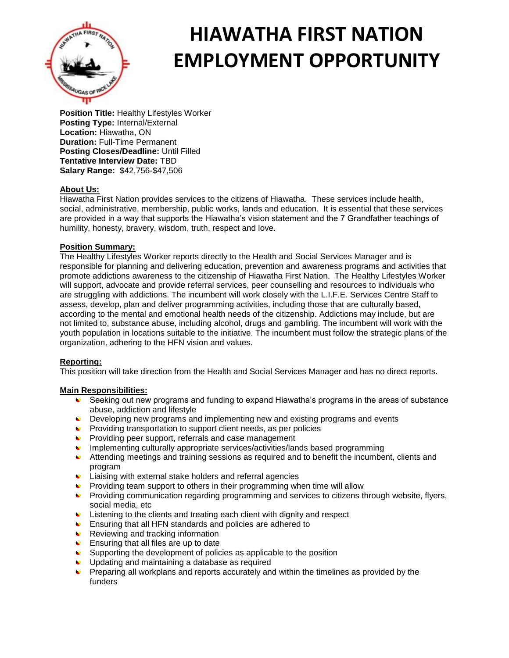

# **HIAWATHA FIRST NATION EMPLOYMENT OPPORTUNITY**

**Position Title:** Healthy Lifestyles Worker **Posting Type:** Internal/External **Location:** Hiawatha, ON **Duration:** Full-Time Permanent **Posting Closes/Deadline:** Until Filled **Tentative Interview Date:** TBD **Salary Range:** \$42,756-\$47,506

# **About Us:**

Hiawatha First Nation provides services to the citizens of Hiawatha. These services include health, social, administrative, membership, public works, lands and education. It is essential that these services are provided in a way that supports the Hiawatha's vision statement and the 7 Grandfather teachings of humility, honesty, bravery, wisdom, truth, respect and love.

## **Position Summary:**

The Healthy Lifestyles Worker reports directly to the Health and Social Services Manager and is responsible for planning and delivering education, prevention and awareness programs and activities that promote addictions awareness to the citizenship of Hiawatha First Nation. The Healthy Lifestyles Worker will support, advocate and provide referral services, peer counselling and resources to individuals who are struggling with addictions. The incumbent will work closely with the L.I.F.E. Services Centre Staff to assess, develop, plan and deliver programming activities, including those that are culturally based, according to the mental and emotional health needs of the citizenship. Addictions may include, but are not limited to, substance abuse, including alcohol, drugs and gambling. The incumbent will work with the youth population in locations suitable to the initiative. The incumbent must follow the strategic plans of the organization, adhering to the HFN vision and values.

## **Reporting:**

This position will take direction from the Health and Social Services Manager and has no direct reports.

## **Main Responsibilities:**

- Seeking out new programs and funding to expand Hiawatha's programs in the areas of substance abuse, addiction and lifestyle
- Developing new programs and implementing new and existing programs and events
- **•** Providing transportation to support client needs, as per policies
- **Providing peer support, referrals and case management**
- **Implementing culturally appropriate services/activities/lands based programming**
- Attending meetings and training sessions as required and to benefit the incumbent, clients and program
- **Liaising with external stake holders and referral agencies**
- **•** Providing team support to others in their programming when time will allow
- **Providing communication regarding programming and services to citizens through website, flyers,** social media, etc
- Listening to the clients and treating each client with dignity and respect
- Ensuring that all HFN standards and policies are adhered to
- $\blacktriangleright$  Reviewing and tracking information
- **Ensuring that all files are up to date**
- Supporting the development of policies as applicable to the position
- Updating and maintaining a database as required
- **Preparing all workplans and reports accurately and within the timelines as provided by the** funders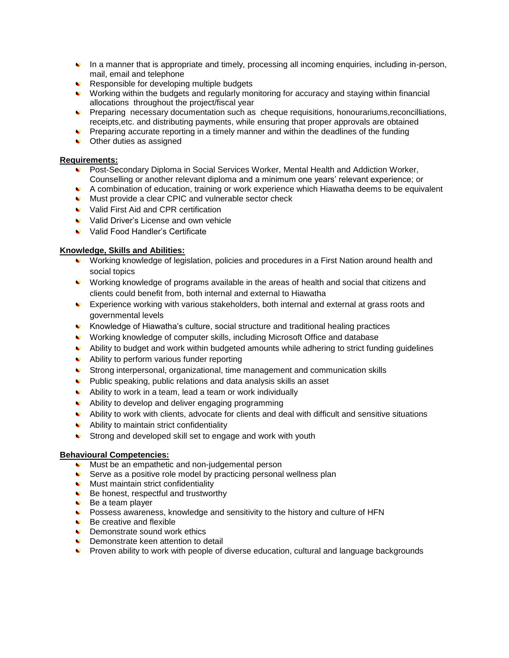- In a manner that is appropriate and timely, processing all incoming enquiries, including in-person, mail, email and telephone
- Responsible for developing multiple budgets
- Working within the budgets and regularly monitoring for accuracy and staying within financial allocations throughout the project/fiscal year
- **Preparing necessary documentation such as cheque requisitions, honourariums, reconcilliations,** receipts,etc. and distributing payments, while ensuring that proper approvals are obtained
- $\bullet$  Preparing accurate reporting in a timely manner and within the deadlines of the funding
- Other duties as assigned

## **Requirements:**

- Post-Secondary Diploma in Social Services Worker, Mental Health and Addiction Worker, Counselling or another relevant diploma and a minimum one years' relevant experience; or
- A combination of education, training or work experience which Hiawatha deems to be equivalent
- Must provide a clear CPIC and vulnerable sector check
- Valid First Aid and CPR certification
- Valid Driver's License and own vehicle
- Valid Food Handler's Certificate

#### **Knowledge, Skills and Abilities:**

- Working knowledge of legislation, policies and procedures in a First Nation around health and social topics
- Working knowledge of programs available in the areas of health and social that citizens and clients could benefit from, both internal and external to Hiawatha
- Experience working with various stakeholders, both internal and external at grass roots and governmental levels
- Knowledge of Hiawatha's culture, social structure and traditional healing practices
- Working knowledge of computer skills, including Microsoft Office and database
- Ability to budget and work within budgeted amounts while adhering to strict funding guidelines
- Ability to perform various funder reporting
- Strong interpersonal, organizational, time management and communication skills
- Public speaking, public relations and data analysis skills an asset
- Ability to work in a team, lead a team or work individually
- Ability to develop and deliver engaging programming
- Ability to work with clients, advocate for clients and deal with difficult and sensitive situations
- Ability to maintain strict confidentiality
- Strong and developed skill set to engage and work with youth

#### **Behavioural Competencies:**

- $\triangleright$  Must be an empathetic and non-judgemental person
- Serve as a positive role model by practicing personal wellness plan
- **Must maintain strict confidentiality**
- $\triangleleft$  Be honest, respectful and trustworthy
- Be a team player
- Possess awareness, knowledge and sensitivity to the history and culture of HFN
- $\bullet$  Be creative and flexible
- **Demonstrate sound work ethics**
- **■** Demonstrate keen attention to detail
- Proven ability to work with people of diverse education, cultural and language backgrounds